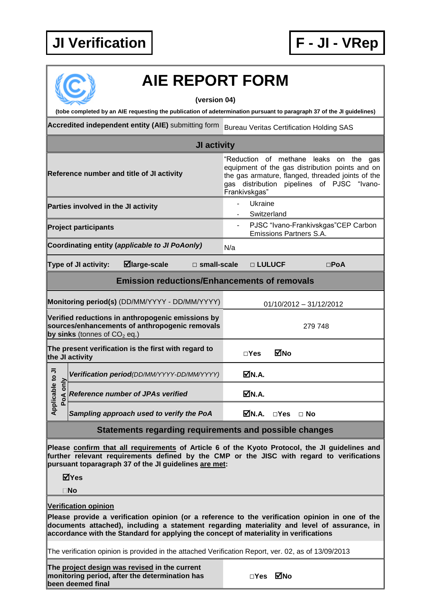## **JI Verification F - JI - VRep**



## **AIE REPORT FORM**

**(version 04)**

**(tobe completed by an AIE requesting the publication of adetermination pursuant to paragraph 37 of the JI guidelines)**

**Accredited independent entity (AIE)** submitting form Bureau Veritas Certification Holding SAS

|                                                                                                                                       |  |                                                                                                                                                                                                                                                      | JI activity |                |                        |                         |                                |                                                                                                                                                                        |  |
|---------------------------------------------------------------------------------------------------------------------------------------|--|------------------------------------------------------------------------------------------------------------------------------------------------------------------------------------------------------------------------------------------------------|-------------|----------------|------------------------|-------------------------|--------------------------------|------------------------------------------------------------------------------------------------------------------------------------------------------------------------|--|
| Reference number and title of JI activity                                                                                             |  |                                                                                                                                                                                                                                                      |             | Frankivskgas"  |                        | "Reduction of methane   |                                | leaks on the gas<br>equipment of the gas distribution points and on<br>the gas armature, flanged, threaded joints of the<br>gas distribution pipelines of PJSC "Ivano- |  |
| Parties involved in the JI activity                                                                                                   |  |                                                                                                                                                                                                                                                      |             | $\blacksquare$ | Ukraine<br>Switzerland |                         |                                |                                                                                                                                                                        |  |
| <b>Project participants</b>                                                                                                           |  |                                                                                                                                                                                                                                                      |             | $\blacksquare$ |                        |                         | <b>Emissions Partners S.A.</b> | PJSC "Ivano-Frankivskgas"CEP Carbon                                                                                                                                    |  |
|                                                                                                                                       |  | Coordinating entity (applicable to JI PoAonly)                                                                                                                                                                                                       |             | N/a            |                        |                         |                                |                                                                                                                                                                        |  |
| ⊠large-scale<br>Type of JI activity:<br>$\square$ small-scale                                                                         |  |                                                                                                                                                                                                                                                      |             |                | □ LULUCF               |                         |                                | $\square$ PoA                                                                                                                                                          |  |
| <b>Emission reductions/Enhancements of removals</b>                                                                                   |  |                                                                                                                                                                                                                                                      |             |                |                        |                         |                                |                                                                                                                                                                        |  |
| Monitoring period(s) (DD/MM/YYYY - DD/MM/YYYY)                                                                                        |  |                                                                                                                                                                                                                                                      |             |                |                        | 01/10/2012 - 31/12/2012 |                                |                                                                                                                                                                        |  |
| Verified reductions in anthropogenic emissions by<br>sources/enhancements of anthropogenic removals<br>by sinks (tonnes of $CO2$ eq.) |  |                                                                                                                                                                                                                                                      |             |                |                        |                         | 279 748                        |                                                                                                                                                                        |  |
| The present verification is the first with regard to<br>the JI activity                                                               |  |                                                                                                                                                                                                                                                      |             | $\Box$ Yes     | MNo                    |                         |                                |                                                                                                                                                                        |  |
| Applicable to JI<br>PoA only                                                                                                          |  | Verification period(DD/MM/YYYY-DD/MM/YYYY)                                                                                                                                                                                                           |             |                | ØN.A.                  |                         |                                |                                                                                                                                                                        |  |
|                                                                                                                                       |  | <b>Reference number of JPAs verified</b>                                                                                                                                                                                                             |             |                | ØN.A.                  |                         |                                |                                                                                                                                                                        |  |
|                                                                                                                                       |  | Sampling approach used to verify the PoA                                                                                                                                                                                                             |             |                | M.A.                   | $\square$ Yes           | $\Box$ No                      |                                                                                                                                                                        |  |
| Statements regarding requirements and possible changes                                                                                |  |                                                                                                                                                                                                                                                      |             |                |                        |                         |                                |                                                                                                                                                                        |  |
|                                                                                                                                       |  | Please confirm that all requirements of Article 6 of the Kyoto Protocol, the JI guidelines and<br>further relevant requirements defined by the CMP or the JISC with regard to verifications<br>pursuant toparagraph 37 of the JI guidelines are met: |             |                |                        |                         |                                |                                                                                                                                                                        |  |

**Yes**

**No**

## **Verification opinion**

**Please provide a verification opinion (or a reference to the verification opinion in one of the documents attached), including a statement regarding materiality and level of assurance, in accordance with the Standard for applying the concept of materiality in verifications**

The verification opinion is provided in the attached Verification Report, ver. 02, as of 13/09/2013

**The project design was revised in the current monitoring period, after the determination has been deemed final**